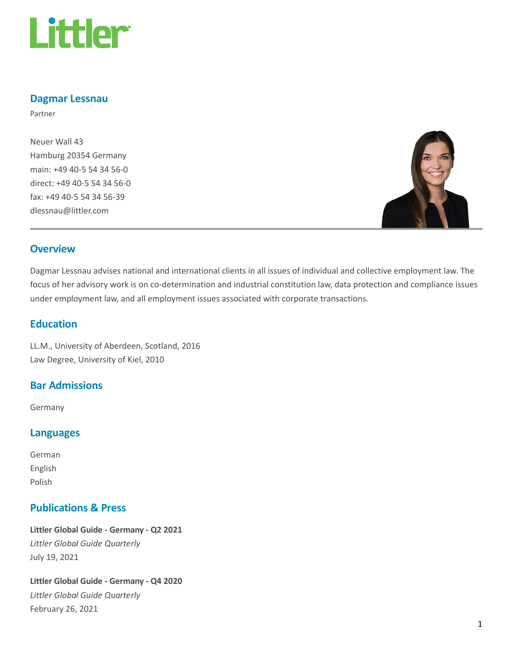

### Dagmar Lessnau

Partner

Neuer Wall 43 Hamburg 20354 Germany main: +49 40-5 54 34 56-0 direct: +49 40-5 54 34 56-0 fax: +49 40-5 54 34 56-39 dlessnau@littler.com



### **Overview**

Dagmar Lessnau advises national and international clients in all issues of individual and collective employment law. The focus of her advisory work is on co-determination and industrial constitution law, data protection and compliance issues under employment law, and all employment issues associated with corporate transactions.

## Education

LL.M., University of Aberdeen, Scotland, 2016 Law Degree, University of Kiel, 2010

### Bar Admissions

Germany

### Languages

German English Polish

### Publications & Press

Littler Global Guide - Germany - Q2 2021 Littler Global Guide Quarterly July 19, 2021

Littler Global Guide - Germany - Q4 2020 Littler Global Guide Quarterly February 26, 2021